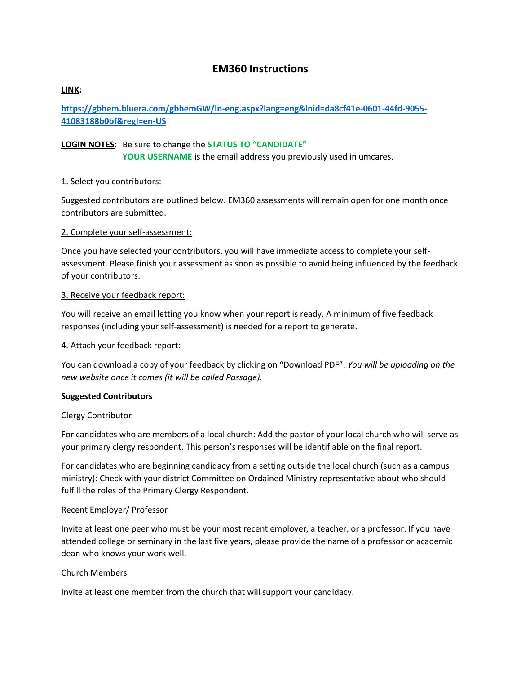# **EM360 Instructions**

# **LINK:**

**[https://gbhem.bluera.com/gbhemGW/ln-eng.aspx?lang=eng&lnid=da8cf41e-0601-44fd-9055-](https://gbhem.bluera.com/gbhemGW/ln-eng.aspx?lang=eng&lnid=da8cf41e-0601-44fd-9055-41083188b0bf®l=en-US) [41083188b0bf&regl=en-US](https://gbhem.bluera.com/gbhemGW/ln-eng.aspx?lang=eng&lnid=da8cf41e-0601-44fd-9055-41083188b0bf®l=en-US)**

## **LOGIN NOTES**: Be sure to change the **STATUS TO "CANDIDATE"**

**YOUR USERNAME** is the email address you previously used in umcares.

### 1. Select you contributors:

Suggested contributors are outlined below. EM360 assessments will remain open for one month once contributors are submitted.

### 2. Complete your self-assessment:

Once you have selected your contributors, you will have immediate access to complete your selfassessment. Please finish your assessment as soon as possible to avoid being influenced by the feedback of your contributors.

### 3. Receive your feedback report:

You will receive an email letting you know when your report is ready. A minimum of five feedback responses (including your self-assessment) is needed for a report to generate.

## 4. Attach your feedback report:

You can download a copy of your feedback by clicking on "Download PDF". *You will be uploading on the new website once it comes (it will be called Passage).*

#### **Suggested Contributors**

#### Clergy Contributor

For candidates who are members of a local church: Add the pastor of your local church who will serve as your primary clergy respondent. This person's responses will be identifiable on the final report.

For candidates who are beginning candidacy from a setting outside the local church (such as a campus ministry): Check with your district Committee on Ordained Ministry representative about who should fulfill the roles of the Primary Clergy Respondent.

#### Recent Employer/ Professor

Invite at least one peer who must be your most recent employer, a teacher, or a professor. If you have attended college or seminary in the last five years, please provide the name of a professor or academic dean who knows your work well.

## Church Members

Invite at least one member from the church that will support your candidacy.